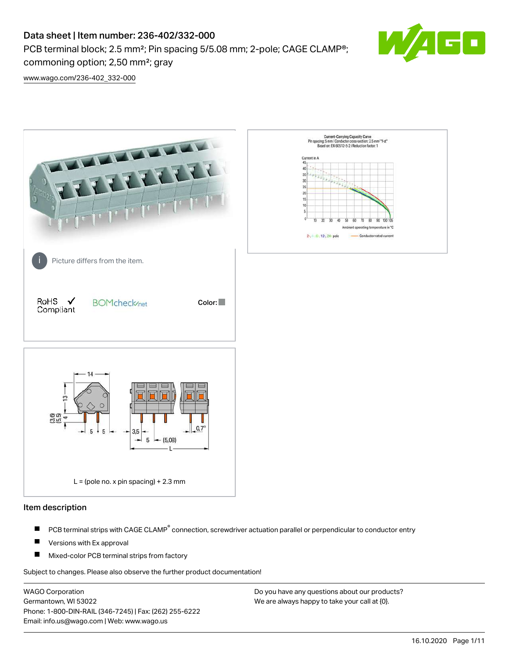PCB terminal block; 2.5 mm<sup>2</sup>; Pin spacing 5/5.08 mm; 2-pole; CAGE CLAMP<sup>®</sup>; commoning option; 2,50 mm²; gray



[www.wago.com/236-402\\_332-000](http://www.wago.com/236-402_332-000)



#### Item description

- PCB terminal strips with CAGE CLAMP<sup>®</sup> connection, screwdriver actuation parallel or perpendicular to conductor entry П
- П Versions with Ex approval
- П Mixed-color PCB terminal strips from factory

Subject to changes. Please also observe the further product documentation!

WAGO Corporation Germantown, WI 53022 Phone: 1-800-DIN-RAIL (346-7245) | Fax: (262) 255-6222 Email: info.us@wago.com | Web: www.wago.us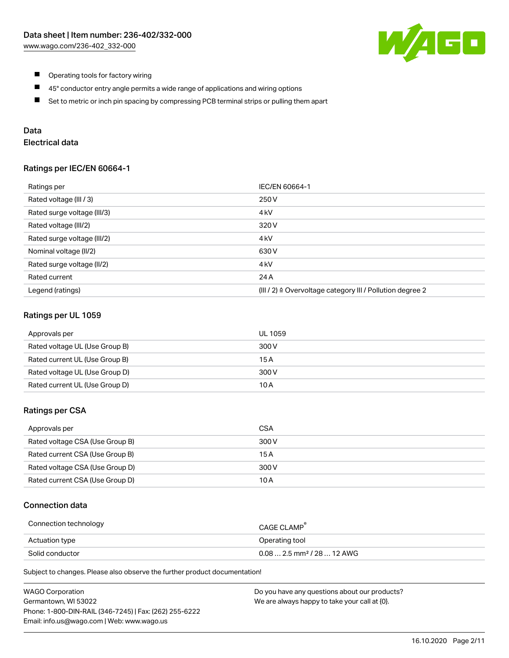

- $\blacksquare$ Operating tools for factory wiring
- $\blacksquare$ 45° conductor entry angle permits a wide range of applications and wiring options
- $\blacksquare$ Set to metric or inch pin spacing by compressing PCB terminal strips or pulling them apart

## Data

## Electrical data

#### Ratings per IEC/EN 60664-1

| Ratings per                 | IEC/EN 60664-1                                                        |
|-----------------------------|-----------------------------------------------------------------------|
| Rated voltage (III / 3)     | 250 V                                                                 |
| Rated surge voltage (III/3) | 4 <sub>k</sub> V                                                      |
| Rated voltage (III/2)       | 320 V                                                                 |
| Rated surge voltage (III/2) | 4 <sub>k</sub> V                                                      |
| Nominal voltage (II/2)      | 630 V                                                                 |
| Rated surge voltage (II/2)  | 4 <sub>k</sub> V                                                      |
| Rated current               | 24 A                                                                  |
| Legend (ratings)            | $(III / 2)$ $\triangle$ Overvoltage category III / Pollution degree 2 |

#### Ratings per UL 1059

| Approvals per                  | UL 1059 |
|--------------------------------|---------|
| Rated voltage UL (Use Group B) | 300 V   |
| Rated current UL (Use Group B) | 15 A    |
| Rated voltage UL (Use Group D) | 300 V   |
| Rated current UL (Use Group D) | 10 A    |

#### Ratings per CSA

| Approvals per                   | CSA   |
|---------------------------------|-------|
| Rated voltage CSA (Use Group B) | 300 V |
| Rated current CSA (Use Group B) | 15 A  |
| Rated voltage CSA (Use Group D) | 300 V |
| Rated current CSA (Use Group D) | 10 A  |

#### Connection data

| Connection technology | CAGE CLAMP <sup>®</sup>                 |
|-----------------------|-----------------------------------------|
| Actuation type        | Operating tool                          |
| Solid conductor       | $0.08$ 2.5 mm <sup>2</sup> / 28  12 AWG |

Subject to changes. Please also observe the further product documentation!

| <b>WAGO Corporation</b>                                | Do you have any questions about our products? |
|--------------------------------------------------------|-----------------------------------------------|
| Germantown, WI 53022                                   | We are always happy to take your call at {0}. |
| Phone: 1-800-DIN-RAIL (346-7245)   Fax: (262) 255-6222 |                                               |
| Email: info.us@wago.com   Web: www.wago.us             |                                               |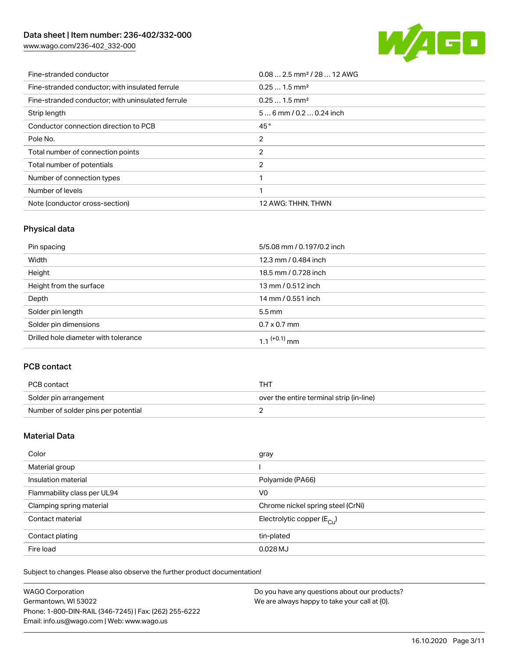[www.wago.com/236-402\\_332-000](http://www.wago.com/236-402_332-000)



| Fine-stranded conductor                           | $0.08$ 2.5 mm <sup>2</sup> / 28  12 AWG |
|---------------------------------------------------|-----------------------------------------|
| Fine-stranded conductor: with insulated ferrule   | $0.251.5$ mm <sup>2</sup>               |
| Fine-stranded conductor; with uninsulated ferrule | $0.251.5$ mm <sup>2</sup>               |
| Strip length                                      | $56$ mm / 0.2  0.24 inch                |
| Conductor connection direction to PCB             | 45°                                     |
| Pole No.                                          | 2                                       |
| Total number of connection points                 | 2                                       |
| Total number of potentials                        | 2                                       |
| Number of connection types                        |                                         |
| Number of levels                                  |                                         |
| Note (conductor cross-section)                    | 12 AWG: THHN, THWN                      |

## Physical data

| Pin spacing                          | 5/5.08 mm / 0.197/0.2 inch |
|--------------------------------------|----------------------------|
| Width                                | 12.3 mm / 0.484 inch       |
| Height                               | 18.5 mm / 0.728 inch       |
| Height from the surface              | 13 mm / 0.512 inch         |
| Depth                                | 14 mm / 0.551 inch         |
| Solder pin length                    | $5.5 \,\mathrm{mm}$        |
| Solder pin dimensions                | $0.7 \times 0.7$ mm        |
| Drilled hole diameter with tolerance | $1.1$ <sup>(+0.1)</sup> mm |

## PCB contact

| PCB contact                         | THT                                      |
|-------------------------------------|------------------------------------------|
| Solder pin arrangement              | over the entire terminal strip (in-line) |
| Number of solder pins per potential |                                          |

## Material Data

| Color                       | gray                                  |
|-----------------------------|---------------------------------------|
| Material group              |                                       |
| Insulation material         | Polyamide (PA66)                      |
| Flammability class per UL94 | V <sub>0</sub>                        |
| Clamping spring material    | Chrome nickel spring steel (CrNi)     |
| Contact material            | Electrolytic copper $(E_{\text{CL}})$ |
| Contact plating             | tin-plated                            |
| Fire load                   | $0.028$ MJ                            |

Subject to changes. Please also observe the further product documentation!

| <b>WAGO Corporation</b>                                | Do you have any questions about our products? |
|--------------------------------------------------------|-----------------------------------------------|
| Germantown, WI 53022                                   | We are always happy to take your call at {0}. |
| Phone: 1-800-DIN-RAIL (346-7245)   Fax: (262) 255-6222 |                                               |
| Email: info.us@wago.com   Web: www.wago.us             |                                               |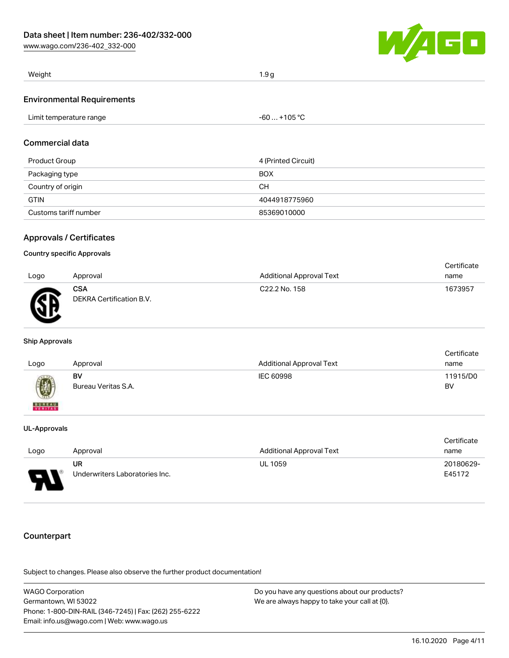[www.wago.com/236-402\\_332-000](http://www.wago.com/236-402_332-000)



| Weight                     | .9c |
|----------------------------|-----|
| Environmontal Docuiromonto |     |

#### Environmental Requirements

| $-60+105 °C$<br>Limit temperature range |
|-----------------------------------------|
|-----------------------------------------|

#### Commercial data

| Product Group         | 4 (Printed Circuit) |
|-----------------------|---------------------|
| Packaging type        | <b>BOX</b>          |
| Country of origin     | CН                  |
| <b>GTIN</b>           | 4044918775960       |
| Customs tariff number | 85369010000         |

#### Approvals / Certificates

#### Country specific Approvals

|           |                                        |                                 | Certificate |
|-----------|----------------------------------------|---------------------------------|-------------|
| Logo      | Approval                               | <b>Additional Approval Text</b> | name        |
| <b>AN</b> | <b>CSA</b><br>DEKRA Certification B.V. | C <sub>22.2</sub> No. 158       | 1673957     |

#### Ship Approvals

|                                                                      |                     |                                 | Certificate |
|----------------------------------------------------------------------|---------------------|---------------------------------|-------------|
| Logo                                                                 | Approval            | <b>Additional Approval Text</b> | name        |
|                                                                      | BV                  | IEC 60998                       | 11915/D0    |
| $\left(\!\!\left.\begin{array}{c} y\end{array}\!\!\right\!\!\right)$ | Bureau Veritas S.A. |                                 | BV          |
| <b>BUREAU</b><br>VERITAS                                             |                     |                                 |             |

#### UL-Approvals

|                                    |                                |                                 | Certificate |
|------------------------------------|--------------------------------|---------------------------------|-------------|
| Logo                               | Approval                       | <b>Additional Approval Text</b> | name        |
|                                    | UR                             | <b>UL 1059</b>                  | 20180629-   |
| $\Box$<br>$\overline{\phantom{a}}$ | Underwriters Laboratories Inc. |                                 | E45172      |

## Counterpart

Subject to changes. Please also observe the further product documentation!

| WAGO Corporation                                       | Do you have any questions about our products? |
|--------------------------------------------------------|-----------------------------------------------|
| Germantown. WI 53022                                   | We are always happy to take your call at {0}. |
| Phone: 1-800-DIN-RAIL (346-7245)   Fax: (262) 255-6222 |                                               |
| Email: info.us@wago.com   Web: www.wago.us             |                                               |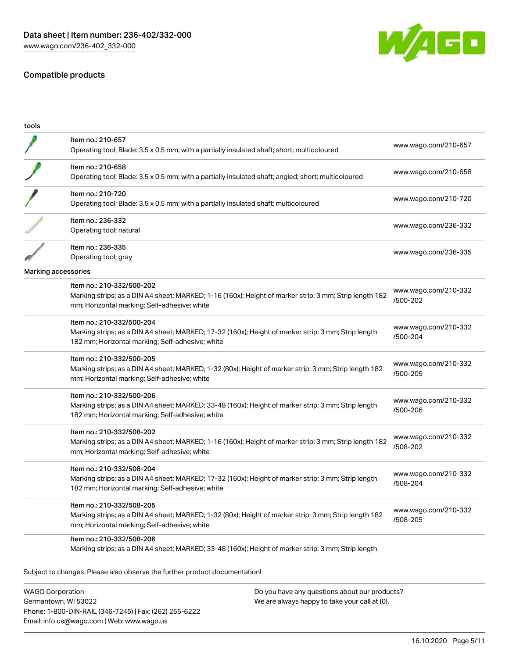



| Item no.: 210-657                                                                                      | www.wago.com/210-657             |
|--------------------------------------------------------------------------------------------------------|----------------------------------|
| Operating tool; Blade: 3.5 x 0.5 mm; with a partially insulated shaft; short; multicoloured            |                                  |
| Item no.: 210-658                                                                                      | www.wago.com/210-658             |
| Operating tool; Blade: 3.5 x 0.5 mm; with a partially insulated shaft; angled; short; multicoloured    |                                  |
| Item no.: 210-720                                                                                      | www.wago.com/210-720             |
| Operating tool; Blade: 3.5 x 0.5 mm; with a partially insulated shaft; multicoloured                   |                                  |
| Item no.: 236-332                                                                                      | www.wago.com/236-332             |
| Operating tool; natural                                                                                |                                  |
| Item no.: 236-335                                                                                      | www.wago.com/236-335             |
| Operating tool; gray                                                                                   |                                  |
| Marking accessories                                                                                    |                                  |
| Item no.: 210-332/500-202                                                                              | www.wago.com/210-332             |
| Marking strips; as a DIN A4 sheet; MARKED; 1-16 (160x); Height of marker strip: 3 mm; Strip length 182 | /500-202                         |
| mm; Horizontal marking; Self-adhesive; white                                                           |                                  |
| Item no.: 210-332/500-204                                                                              | www.wago.com/210-332             |
| Marking strips; as a DIN A4 sheet; MARKED; 17-32 (160x); Height of marker strip: 3 mm; Strip length    | /500-204                         |
| 182 mm; Horizontal marking; Self-adhesive; white                                                       |                                  |
| Item no.: 210-332/500-205                                                                              | www.wago.com/210-332             |
| Marking strips; as a DIN A4 sheet; MARKED; 1-32 (80x); Height of marker strip: 3 mm; Strip length 182  | /500-205                         |
| mm; Horizontal marking; Self-adhesive; white                                                           |                                  |
| Item no.: 210-332/500-206                                                                              | www.wago.com/210-332             |
| Marking strips; as a DIN A4 sheet; MARKED; 33-48 (160x); Height of marker strip: 3 mm; Strip length    | /500-206                         |
| 182 mm; Horizontal marking; Self-adhesive; white                                                       |                                  |
| Item no.: 210-332/508-202                                                                              | www.wago.com/210-332             |
| Marking strips; as a DIN A4 sheet; MARKED; 1-16 (160x); Height of marker strip: 3 mm; Strip length 182 | /508-202                         |
| mm; Horizontal marking; Self-adhesive; white                                                           |                                  |
| Item no.: 210-332/508-204                                                                              | www.wago.com/210-332             |
| Marking strips; as a DIN A4 sheet; MARKED; 17-32 (160x); Height of marker strip: 3 mm; Strip length    | /508-204                         |
| 182 mm; Horizontal marking; Self-adhesive; white                                                       |                                  |
| Item no.: 210-332/508-205                                                                              |                                  |
| Marking strips; as a DIN A4 sheet; MARKED; 1-32 (80x); Height of marker strip: 3 mm; Strip length 182  | www.wago.com/210-332<br>/508-205 |
| mm; Horizontal marking; Self-adhesive; white                                                           |                                  |
| Item no.: 210-332/508-206                                                                              |                                  |
| Marking strips; as a DIN A4 sheet; MARKED; 33-48 (160x); Height of marker strip: 3 mm; Strip length    |                                  |

WAGO Corporation Germantown, WI 53022 Phone: 1-800-DIN-RAIL (346-7245) | Fax: (262) 255-6222 Email: info.us@wago.com | Web: www.wago.us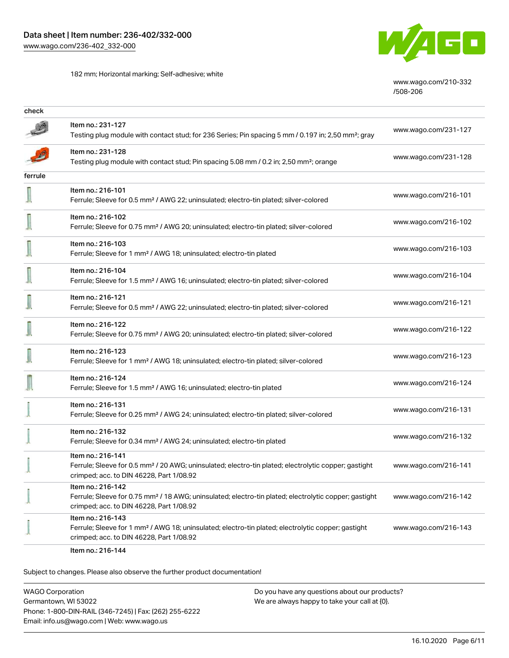182 mm; Horizontal marking; Self-adhesive; white



[www.wago.com/210-332](http://www.wago.com/210-332/508-206) [/508-206](http://www.wago.com/210-332/508-206)

| check   |                                                                                                                                                                                    |                      |
|---------|------------------------------------------------------------------------------------------------------------------------------------------------------------------------------------|----------------------|
|         | Item no.: 231-127<br>Testing plug module with contact stud; for 236 Series; Pin spacing 5 mm / 0.197 in; 2,50 mm <sup>2</sup> ; gray                                               | www.wago.com/231-127 |
|         | Item no.: 231-128<br>Testing plug module with contact stud; Pin spacing 5.08 mm / 0.2 in; 2,50 mm <sup>2</sup> ; orange                                                            | www.wago.com/231-128 |
| ferrule |                                                                                                                                                                                    |                      |
|         | Item no.: 216-101<br>Ferrule; Sleeve for 0.5 mm <sup>2</sup> / AWG 22; uninsulated; electro-tin plated; silver-colored                                                             | www.wago.com/216-101 |
|         | Item no.: 216-102<br>Ferrule; Sleeve for 0.75 mm <sup>2</sup> / AWG 20; uninsulated; electro-tin plated; silver-colored                                                            | www.wago.com/216-102 |
|         | Item no.: 216-103<br>Ferrule; Sleeve for 1 mm <sup>2</sup> / AWG 18; uninsulated; electro-tin plated                                                                               | www.wago.com/216-103 |
|         | Item no.: 216-104<br>Ferrule; Sleeve for 1.5 mm <sup>2</sup> / AWG 16; uninsulated; electro-tin plated; silver-colored                                                             | www.wago.com/216-104 |
|         | Item no.: 216-121<br>Ferrule; Sleeve for 0.5 mm <sup>2</sup> / AWG 22; uninsulated; electro-tin plated; silver-colored                                                             | www.wago.com/216-121 |
|         | Item no.: 216-122<br>Ferrule; Sleeve for 0.75 mm <sup>2</sup> / AWG 20; uninsulated; electro-tin plated; silver-colored                                                            | www.wago.com/216-122 |
|         | Item no.: 216-123<br>Ferrule; Sleeve for 1 mm <sup>2</sup> / AWG 18; uninsulated; electro-tin plated; silver-colored                                                               | www.wago.com/216-123 |
|         | Item no.: 216-124<br>Ferrule; Sleeve for 1.5 mm <sup>2</sup> / AWG 16; uninsulated; electro-tin plated                                                                             | www.wago.com/216-124 |
|         | Item no.: 216-131<br>Ferrule; Sleeve for 0.25 mm <sup>2</sup> / AWG 24; uninsulated; electro-tin plated; silver-colored                                                            | www.wago.com/216-131 |
|         | Item no.: 216-132<br>Ferrule; Sleeve for 0.34 mm <sup>2</sup> / AWG 24; uninsulated; electro-tin plated                                                                            | www.wago.com/216-132 |
|         | Item no.: 216-141<br>Ferrule; Sleeve for 0.5 mm <sup>2</sup> / 20 AWG; uninsulated; electro-tin plated; electrolytic copper; gastight<br>crimped; acc. to DIN 46228, Part 1/08.92  | www.wago.com/216-141 |
|         | Item no.: 216-142<br>Ferrule; Sleeve for 0.75 mm <sup>2</sup> / 18 AWG; uninsulated; electro-tin plated; electrolytic copper; gastight<br>crimped; acc. to DIN 46228, Part 1/08.92 | www.wago.com/216-142 |
|         | Item no.: 216-143<br>Ferrule; Sleeve for 1 mm <sup>2</sup> / AWG 18; uninsulated; electro-tin plated; electrolytic copper; gastight<br>crimped; acc. to DIN 46228, Part 1/08.92    | www.wago.com/216-143 |
|         |                                                                                                                                                                                    |                      |

Item no.: 216-144

Subject to changes. Please also observe the further product documentation!

WAGO Corporation Germantown, WI 53022 Phone: 1-800-DIN-RAIL (346-7245) | Fax: (262) 255-6222 Email: info.us@wago.com | Web: www.wago.us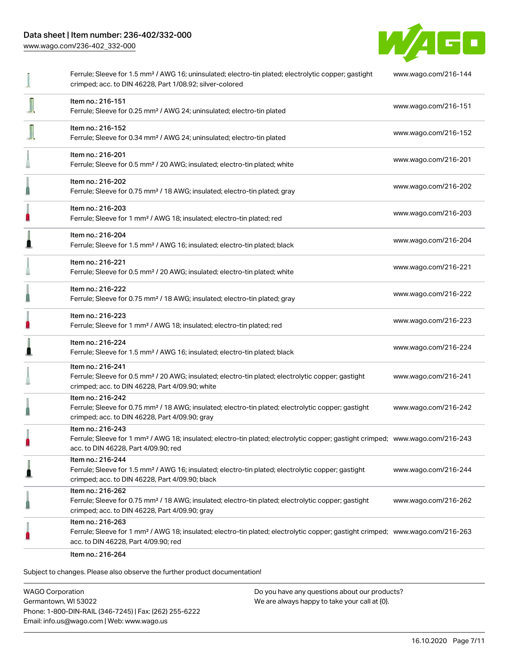[www.wago.com/236-402\\_332-000](http://www.wago.com/236-402_332-000)



|   | Ferrule; Sleeve for 1.5 mm <sup>2</sup> / AWG 16; uninsulated; electro-tin plated; electrolytic copper; gastight<br>crimped; acc. to DIN 46228, Part 1/08.92; silver-colored                            | www.wago.com/216-144 |
|---|---------------------------------------------------------------------------------------------------------------------------------------------------------------------------------------------------------|----------------------|
|   | Item no.: 216-151<br>Ferrule; Sleeve for 0.25 mm <sup>2</sup> / AWG 24; uninsulated; electro-tin plated                                                                                                 | www.wago.com/216-151 |
|   | Item no.: 216-152<br>Ferrule; Sleeve for 0.34 mm <sup>2</sup> / AWG 24; uninsulated; electro-tin plated                                                                                                 | www.wago.com/216-152 |
|   | Item no.: 216-201<br>Ferrule; Sleeve for 0.5 mm <sup>2</sup> / 20 AWG; insulated; electro-tin plated; white                                                                                             | www.wago.com/216-201 |
|   | Item no.: 216-202<br>Ferrule; Sleeve for 0.75 mm <sup>2</sup> / 18 AWG; insulated; electro-tin plated; gray                                                                                             | www.wago.com/216-202 |
| П | Item no.: 216-203<br>Ferrule; Sleeve for 1 mm <sup>2</sup> / AWG 18; insulated; electro-tin plated; red                                                                                                 | www.wago.com/216-203 |
|   | Item no.: 216-204<br>Ferrule; Sleeve for 1.5 mm <sup>2</sup> / AWG 16; insulated; electro-tin plated; black                                                                                             | www.wago.com/216-204 |
|   | Item no.: 216-221<br>Ferrule; Sleeve for 0.5 mm <sup>2</sup> / 20 AWG; insulated; electro-tin plated; white                                                                                             | www.wago.com/216-221 |
|   | Item no.: 216-222<br>Ferrule; Sleeve for 0.75 mm <sup>2</sup> / 18 AWG; insulated; electro-tin plated; gray                                                                                             | www.wago.com/216-222 |
| n | Item no.: 216-223<br>Ferrule; Sleeve for 1 mm <sup>2</sup> / AWG 18; insulated; electro-tin plated; red                                                                                                 | www.wago.com/216-223 |
|   | Item no.: 216-224<br>Ferrule; Sleeve for 1.5 mm <sup>2</sup> / AWG 16; insulated; electro-tin plated; black                                                                                             | www.wago.com/216-224 |
|   | Item no.: 216-241<br>Ferrule; Sleeve for 0.5 mm <sup>2</sup> / 20 AWG; insulated; electro-tin plated; electrolytic copper; gastight<br>crimped; acc. to DIN 46228, Part 4/09.90; white                  | www.wago.com/216-241 |
|   | Item no.: 216-242<br>Ferrule; Sleeve for 0.75 mm <sup>2</sup> / 18 AWG; insulated; electro-tin plated; electrolytic copper; gastight<br>crimped; acc. to DIN 46228, Part 4/09.90; gray                  | www.wago.com/216-242 |
|   | Item no.: 216-243<br>Ferrule; Sleeve for 1 mm <sup>2</sup> / AWG 18; insulated; electro-tin plated; electrolytic copper; gastight crimped; www.wago.com/216-243<br>acc. to DIN 46228, Part 4/09.90; red |                      |
|   | Item no.: 216-244<br>Ferrule; Sleeve for 1.5 mm <sup>2</sup> / AWG 16; insulated; electro-tin plated; electrolytic copper; gastight<br>crimped; acc. to DIN 46228, Part 4/09.90; black                  | www.wago.com/216-244 |
|   | Item no.: 216-262<br>Ferrule; Sleeve for 0.75 mm <sup>2</sup> / 18 AWG; insulated; electro-tin plated; electrolytic copper; gastight<br>crimped; acc. to DIN 46228, Part 4/09.90; gray                  | www.wago.com/216-262 |
|   | Item no.: 216-263<br>Ferrule; Sleeve for 1 mm <sup>2</sup> / AWG 18; insulated; electro-tin plated; electrolytic copper; gastight crimped; www.wago.com/216-263<br>acc. to DIN 46228, Part 4/09.90; red |                      |
|   | Item no.: 216-264                                                                                                                                                                                       |                      |

Subject to changes. Please also observe the further product documentation!

WAGO Corporation Germantown, WI 53022 Phone: 1-800-DIN-RAIL (346-7245) | Fax: (262) 255-6222 Email: info.us@wago.com | Web: www.wago.us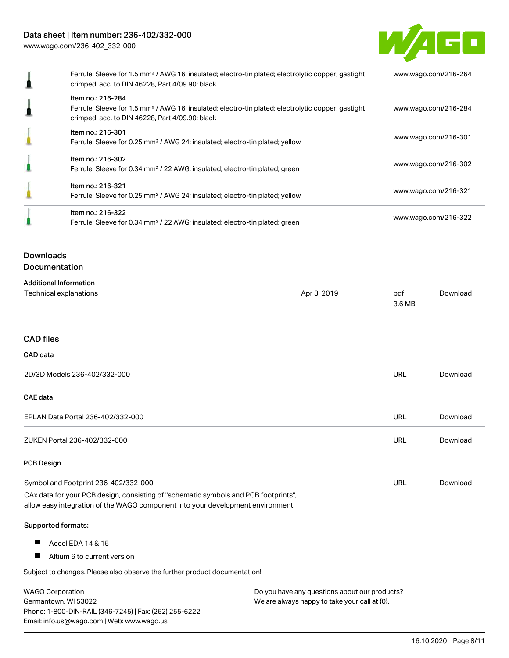[www.wago.com/236-402\\_332-000](http://www.wago.com/236-402_332-000)



| Ferrule; Sleeve for 1.5 mm <sup>2</sup> / AWG 16; insulated; electro-tin plated; electrolytic copper; gastight<br>crimped; acc. to DIN 46228, Part 4/09.90; black                      | www.wago.com/216-264 |
|----------------------------------------------------------------------------------------------------------------------------------------------------------------------------------------|----------------------|
| Item no.: 216-284<br>Ferrule; Sleeve for 1.5 mm <sup>2</sup> / AWG 16; insulated; electro-tin plated; electrolytic copper; gastight<br>crimped; acc. to DIN 46228, Part 4/09.90; black | www.wago.com/216-284 |
| Item no.: 216-301<br>Ferrule; Sleeve for 0.25 mm <sup>2</sup> / AWG 24; insulated; electro-tin plated; yellow                                                                          | www.wago.com/216-301 |
| Item no.: 216-302<br>Ferrule; Sleeve for 0.34 mm <sup>2</sup> / 22 AWG; insulated; electro-tin plated; green                                                                           | www.wago.com/216-302 |
| Item no.: 216-321<br>Ferrule; Sleeve for 0.25 mm <sup>2</sup> / AWG 24; insulated; electro-tin plated; yellow                                                                          | www.wago.com/216-321 |
| Item no.: 216-322<br>Ferrule; Sleeve for 0.34 mm <sup>2</sup> / 22 AWG; insulated; electro-tin plated; green                                                                           | www.wago.com/216-322 |
|                                                                                                                                                                                        |                      |

## Downloads Documentation

| <b>Additional Information</b> |             |        |          |
|-------------------------------|-------------|--------|----------|
| Technical explanations        | Apr 3, 2019 | pdf    | Download |
|                               |             | 3.6 MB |          |

#### CAD files

#### CAD data

| 2D/3D Models 236-402/332-000                                                                                                                                           |                                               | <b>URL</b> | Download |
|------------------------------------------------------------------------------------------------------------------------------------------------------------------------|-----------------------------------------------|------------|----------|
| CAE data                                                                                                                                                               |                                               |            |          |
| EPLAN Data Portal 236-402/332-000                                                                                                                                      |                                               | <b>URL</b> | Download |
| ZUKEN Portal 236-402/332-000                                                                                                                                           |                                               | URL        | Download |
| <b>PCB Design</b>                                                                                                                                                      |                                               |            |          |
| Symbol and Footprint 236-402/332-000                                                                                                                                   |                                               | URL        | Download |
| CAx data for your PCB design, consisting of "schematic symbols and PCB footprints",<br>allow easy integration of the WAGO component into your development environment. |                                               |            |          |
|                                                                                                                                                                        |                                               |            |          |
| Supported formats:                                                                                                                                                     |                                               |            |          |
| Ш<br>Accel EDA 14 & 15                                                                                                                                                 |                                               |            |          |
| Ш<br>Altium 6 to current version                                                                                                                                       |                                               |            |          |
| Subject to changes. Please also observe the further product documentation!                                                                                             |                                               |            |          |
| <b>WAGO Corporation</b>                                                                                                                                                | Do you have any questions about our products? |            |          |

Germantown, WI 53022 Phone: 1-800-DIN-RAIL (346-7245) | Fax: (262) 255-6222 Email: info.us@wago.com | Web: www.wago.us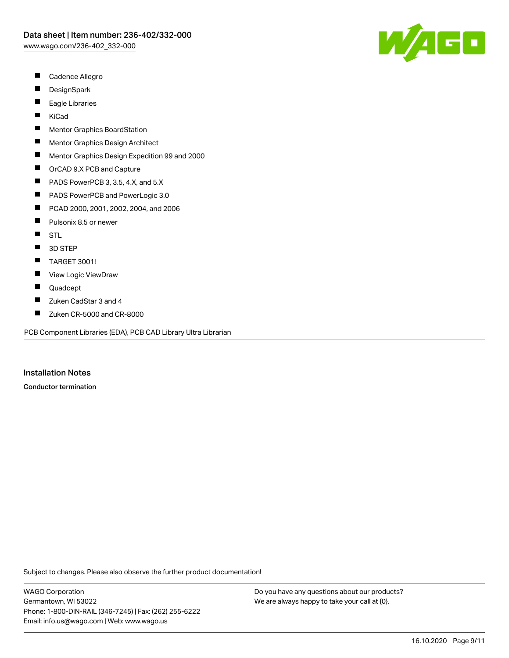- П Cadence Allegro
- П **DesignSpark**
- $\blacksquare$ Eagle Libraries
- $\blacksquare$ KiCad
- $\blacksquare$ Mentor Graphics BoardStation
- П Mentor Graphics Design Architect
- $\blacksquare$ Mentor Graphics Design Expedition 99 and 2000
- $\blacksquare$ OrCAD 9.X PCB and Capture
- $\blacksquare$ PADS PowerPCB 3, 3.5, 4.X, and 5.X
- П PADS PowerPCB and PowerLogic 3.0
- П PCAD 2000, 2001, 2002, 2004, and 2006
- П Pulsonix 8.5 or newer
- $\blacksquare$ **STL**
- 3D STEP  $\blacksquare$
- $\blacksquare$ TARGET 3001!
- $\blacksquare$ View Logic ViewDraw
- П Quadcept
- $\blacksquare$ Zuken CadStar 3 and 4
- $\blacksquare$ Zuken CR-5000 and CR-8000

PCB Component Libraries (EDA), PCB CAD Library Ultra Librarian

Installation Notes

Conductor termination

Subject to changes. Please also observe the further product documentation!

WAGO Corporation Germantown, WI 53022 Phone: 1-800-DIN-RAIL (346-7245) | Fax: (262) 255-6222 Email: info.us@wago.com | Web: www.wago.us

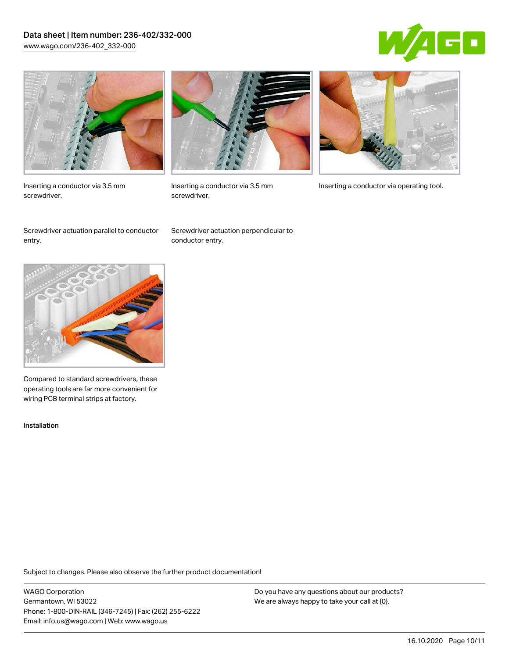## Data sheet | Item number: 236-402/332-000 [www.wago.com/236-402\\_332-000](http://www.wago.com/236-402_332-000)





Inserting a conductor via 3.5 mm screwdriver.



screwdriver.

Inserting a conductor via 3.5 mm Inserting a conductor via operating tool.

Screwdriver actuation parallel to conductor entry.

Screwdriver actuation perpendicular to conductor entry.



Compared to standard screwdrivers, these operating tools are far more convenient for wiring PCB terminal strips at factory.

Installation

Subject to changes. Please also observe the further product documentation!

WAGO Corporation Germantown, WI 53022 Phone: 1-800-DIN-RAIL (346-7245) | Fax: (262) 255-6222 Email: info.us@wago.com | Web: www.wago.us